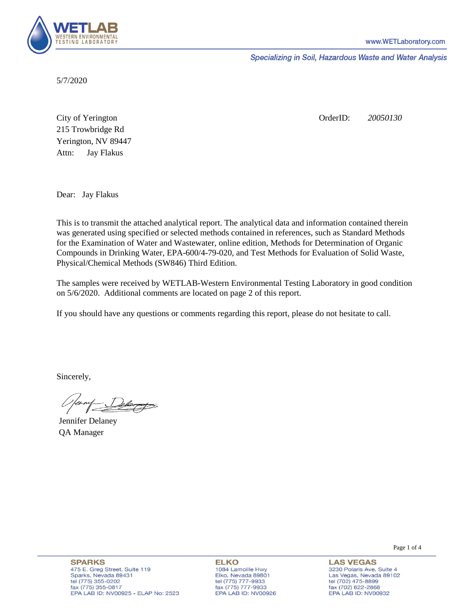

Specializing in Soil, Hazardous Waste and Water Analysis

5/7/2020

Attn: City of Yerington 215 Trowbridge Rd Jay Flakus Yerington, NV 89447 OrderID: *20050130*

Dear: Jay Flakus

This is to transmit the attached analytical report. The analytical data and information contained therein was generated using specified or selected methods contained in references, such as Standard Methods for the Examination of Water and Wastewater, online edition, Methods for Determination of Organic Compounds in Drinking Water, EPA-600/4-79-020, and Test Methods for Evaluation of Solid Waste, Physical/Chemical Methods (SW846) Third Edition.

The samples were received by WETLAB-Western Environmental Testing Laboratory in good condition on 5/6/2020. Additional comments are located on page 2 of this report.

If you should have any questions or comments regarding this report, please do not hesitate to call.

Sincerely,

Jennifer Delaney QA Manager

**SPARKS** 475 E. Greg Street, Suite 119 Sparks, Nevada 89431 tel (775) 355-0202 fax (775) 355-0817 EPA LAB ID: NV00925 - ELAP No: 2523

**ELKO** 1084 Lamoille Hwy Elko, Nevada 89801 tel (775) 777-9933<br>fax (775) 777-9933 EPA LAB ID: NV00926 Page 1 of 4

**LAS VEGAS** 3230 Polaris Ave. Suite 4 Las Vegas, Nevada 89102 tel (702) 475-8899 fax (702) 622-2868 EPA LAB ID: NV00932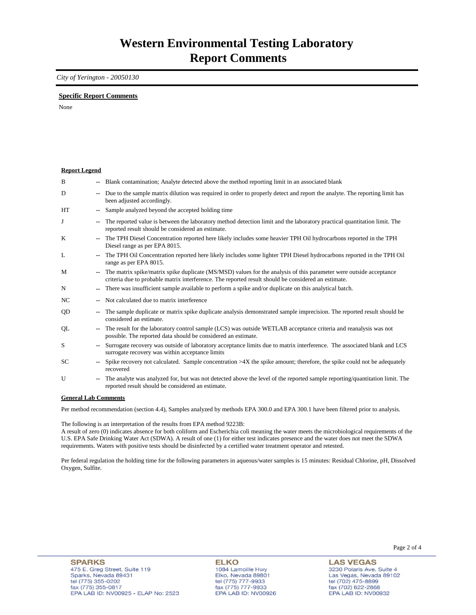### *City of Yerington - 20050130*

### **Specific Report Comments**

None

| <b>Report Legend</b> |                          |                                                                                                                                                                                                                           |
|----------------------|--------------------------|---------------------------------------------------------------------------------------------------------------------------------------------------------------------------------------------------------------------------|
| B                    |                          | Blank contamination; Analyte detected above the method reporting limit in an associated blank                                                                                                                             |
| D                    |                          | Due to the sample matrix dilution was required in order to properly detect and report the analyte. The reporting limit has<br>been adjusted accordingly.                                                                  |
| <b>HT</b>            | $\overline{\phantom{a}}$ | Sample analyzed beyond the accepted holding time                                                                                                                                                                          |
| J                    | $\overline{\phantom{a}}$ | The reported value is between the laboratory method detection limit and the laboratory practical quantitation limit. The<br>reported result should be considered an estimate.                                             |
| K                    |                          | The TPH Diesel Concentration reported here likely includes some heavier TPH Oil hydrocarbons reported in the TPH<br>Diesel range as per EPA 8015.                                                                         |
| L                    |                          | The TPH Oil Concentration reported here likely includes some lighter TPH Diesel hydrocarbons reported in the TPH Oil<br>range as per EPA 8015.                                                                            |
| M                    | $\mathbf{u}$             | The matrix spike/matrix spike duplicate (MS/MSD) values for the analysis of this parameter were outside acceptance<br>criteria due to probable matrix interference. The reported result should be considered an estimate. |
| N                    | $\overline{\phantom{a}}$ | There was insufficient sample available to perform a spike and/or duplicate on this analytical batch.                                                                                                                     |
| NC.                  |                          | Not calculated due to matrix interference                                                                                                                                                                                 |
| QD                   |                          | The sample duplicate or matrix spike duplicate analysis demonstrated sample imprecision. The reported result should be<br>considered an estimate.                                                                         |
| QL                   |                          | The result for the laboratory control sample (LCS) was outside WETLAB acceptance criteria and reanalysis was not<br>possible. The reported data should be considered an estimate.                                         |
| S                    |                          | Surrogate recovery was outside of laboratory acceptance limits due to matrix interference. The associated blank and LCS<br>surrogate recovery was within acceptance limits                                                |
| SC.                  |                          | Spike recovery not calculated. Sample concentration $>4X$ the spike amount; therefore, the spike could not be adequately<br>recovered                                                                                     |
| U                    | $\overline{\phantom{a}}$ | The analyte was analyzed for, but was not detected above the level of the reported sample reporting/quantitation limit. The<br>reported result should be considered an estimate.                                          |
| Conoral Lah Commonte |                          |                                                                                                                                                                                                                           |

#### **General Lab Comments**

Per method recommendation (section 4.4), Samples analyzed by methods EPA 300.0 and EPA 300.1 have been filtered prior to analysis.

The following is an interpretation of the results from EPA method 9223B:

A result of zero (0) indicates absence for both coliform and Escherichia coli meaning the water meets the microbiological requirements of the U.S. EPA Safe Drinking Water Act (SDWA). A result of one (1) for either test indicates presence and the water does not meet the SDWA requirements. Waters with positive tests should be disinfected by a certified water treatment operator and retested.

Per federal regulation the holding time for the following parameters in aqueous/water samples is 15 minutes: Residual Chlorine, pH, Dissolved Oxygen, Sulfite.

**LAS VEGAS** 3230 Polaris Ave. Suite 4 Las Vegas, Nevada 89102 tel (702) 475-8899 fax (702) 47 3-8899<br>fax (702) 622-2868<br>EPA LAB ID: NV00932

Page 2 of 4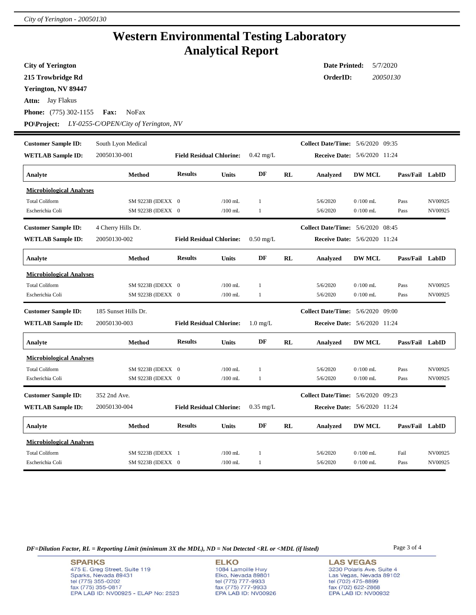## **Western Environmental Testing Laboratory Analytical Report**

| <b>City of Yerington</b>        |                                      |                                 |              |                     |                                     | <b>Date Printed:</b><br>5/7/2020         |                                     |                 |         |  |  |  |  |
|---------------------------------|--------------------------------------|---------------------------------|--------------|---------------------|-------------------------------------|------------------------------------------|-------------------------------------|-----------------|---------|--|--|--|--|
| 215 Trowbridge Rd               |                                      |                                 |              |                     |                                     | OrderID:<br>20050130                     |                                     |                 |         |  |  |  |  |
| Yerington, NV 89447             |                                      |                                 |              |                     |                                     |                                          |                                     |                 |         |  |  |  |  |
| <b>Attn:</b> Jay Flakus         |                                      |                                 |              |                     |                                     |                                          |                                     |                 |         |  |  |  |  |
| <b>Phone:</b> (775) 302-1155    | <b>Fax:</b><br><b>NoFax</b>          |                                 |              |                     |                                     |                                          |                                     |                 |         |  |  |  |  |
|                                 |                                      |                                 |              |                     |                                     |                                          |                                     |                 |         |  |  |  |  |
| <b>PO\Project:</b>              | LY-0255-C/OPEN/City of Yerington, NV |                                 |              |                     |                                     |                                          |                                     |                 |         |  |  |  |  |
| <b>Customer Sample ID:</b>      | South Lyon Medical                   |                                 |              |                     |                                     | Collect Date/Time: 5/6/2020 09:35        |                                     |                 |         |  |  |  |  |
| <b>WETLAB Sample ID:</b>        | 20050130-001                         | <b>Field Residual Chlorine:</b> |              | $0.42 \text{ mg/L}$ | <b>Receive Date:</b> 5/6/2020 11:24 |                                          |                                     |                 |         |  |  |  |  |
| Analyte                         | <b>Method</b>                        | <b>Results</b>                  | <b>Units</b> | DF                  | <b>RL</b>                           | Analyzed                                 | <b>DW MCL</b>                       | Pass/Fail LabID |         |  |  |  |  |
| <b>Microbiological Analyses</b> |                                      |                                 |              |                     |                                     |                                          |                                     |                 |         |  |  |  |  |
| <b>Total Coliform</b>           | SM 9223B (IDEXX 0                    |                                 | $/100$ mL    | $\,1$               |                                     | 5/6/2020                                 | $0/100$ mL                          | Pass            | NV00925 |  |  |  |  |
| Escherichia Coli                | SM 9223B (IDEXX 0                    |                                 | $/100$ mL    | 1                   |                                     | 5/6/2020                                 | $0/100$ mL                          | Pass            | NV00925 |  |  |  |  |
| <b>Customer Sample ID:</b>      | 4 Cherry Hills Dr.                   |                                 |              |                     |                                     | <b>Collect Date/Time:</b> 5/6/2020 08:45 |                                     |                 |         |  |  |  |  |
| <b>WETLAB Sample ID:</b>        | 20050130-002                         | <b>Field Residual Chlorine:</b> |              | $0.50$ mg/L         |                                     |                                          | <b>Receive Date:</b> 5/6/2020 11:24 |                 |         |  |  |  |  |
| Analyte                         | <b>Method</b>                        | <b>Results</b>                  | <b>Units</b> | DF                  | RL                                  | Analyzed                                 | <b>DW MCL</b>                       | Pass/Fail LabID |         |  |  |  |  |
| <b>Microbiological Analyses</b> |                                      |                                 |              |                     |                                     |                                          |                                     |                 |         |  |  |  |  |
| <b>Total Coliform</b>           | SM 9223B (IDEXX 0                    |                                 | $/100$ mL    | 1                   |                                     | 5/6/2020                                 | $0/100$ mL                          | Pass            | NV00925 |  |  |  |  |
| Escherichia Coli                | SM 9223B (IDEXX 0                    |                                 | $/100$ mL    | $\mathbf{1}$        |                                     | 5/6/2020                                 | $0/100$ mL                          | Pass            | NV00925 |  |  |  |  |
| <b>Customer Sample ID:</b>      | 185 Sunset Hills Dr.                 |                                 |              |                     |                                     | <b>Collect Date/Time:</b> 5/6/2020 09:00 |                                     |                 |         |  |  |  |  |
| <b>WETLAB Sample ID:</b>        | 20050130-003                         | <b>Field Residual Chlorine:</b> |              | $1.0 \text{ mg/L}$  |                                     |                                          | <b>Receive Date: 5/6/2020 11:24</b> |                 |         |  |  |  |  |
| Analyte                         | <b>Method</b>                        | <b>Results</b>                  | <b>Units</b> | DF                  | RL                                  | Analyzed                                 | <b>DW MCL</b>                       | Pass/Fail LabID |         |  |  |  |  |
| <b>Microbiological Analyses</b> |                                      |                                 |              |                     |                                     |                                          |                                     |                 |         |  |  |  |  |
| <b>Total Coliform</b>           | SM 9223B (IDEXX 0                    |                                 | $/100$ mL    | 1                   |                                     | 5/6/2020                                 | $0/100$ mL                          | Pass            | NV00925 |  |  |  |  |
| Escherichia Coli                | SM 9223B (IDEXX 0                    |                                 | $/100$ mL    | 1                   |                                     | 5/6/2020                                 | $0/100$ mL                          | Pass            | NV00925 |  |  |  |  |
| <b>Customer Sample ID:</b>      | 352 2nd Ave.                         |                                 |              |                     |                                     | <b>Collect Date/Time:</b> 5/6/2020 09:23 |                                     |                 |         |  |  |  |  |
| <b>WETLAB Sample ID:</b>        | 20050130-004                         | <b>Field Residual Chlorine:</b> |              | $0.35$ mg/L         |                                     |                                          | <b>Receive Date:</b> 5/6/2020 11:24 |                 |         |  |  |  |  |
| Analyte                         | <b>Method</b>                        | <b>Results</b>                  | <b>Units</b> | DF                  | RL                                  | Analyzed                                 | <b>DW MCL</b>                       | Pass/Fail LabID |         |  |  |  |  |
| <b>Microbiological Analyses</b> |                                      |                                 |              |                     |                                     |                                          |                                     |                 |         |  |  |  |  |
| <b>Total Coliform</b>           | SM 9223B (IDEXX 1                    |                                 | $/100$ mL    | 1                   |                                     | 5/6/2020                                 | $0/100$ mL                          | Fail            | NV00925 |  |  |  |  |
| Escherichia Coli                | SM 9223B (IDEXX 0                    |                                 | $/100$ mL    | 1                   |                                     | 5/6/2020                                 | $0/100$ mL                          | Pass            | NV00925 |  |  |  |  |

*DF=Dilution Factor, RL = Reporting Limit (minimum 3X the MDL), ND = Not Detected <RL or <MDL (if listed)* Page 3 of 4

**SPARKS** 475 E. Greg Street, Suite 119 Sparks, Nevada 89431<br>tel (775) 355-0202<br>fax (775) 355-0817 EPA LAB ID: NV00925 - ELAP No: 2523

**ELKO** 1084 Lamoille Hwy Polyton, Nevada 89801<br>tel (775) 777-9933<br>fax (775) 777-9933<br>EPA LAB ID: NV00926

**LAS VEGAS** 3230 Polaris Ave. Suite 4 Las Vegas, Nevada 89102<br>tel (702) 475-8899<br>fax (702) 622-2868<br>EPA LAB ID: NV00932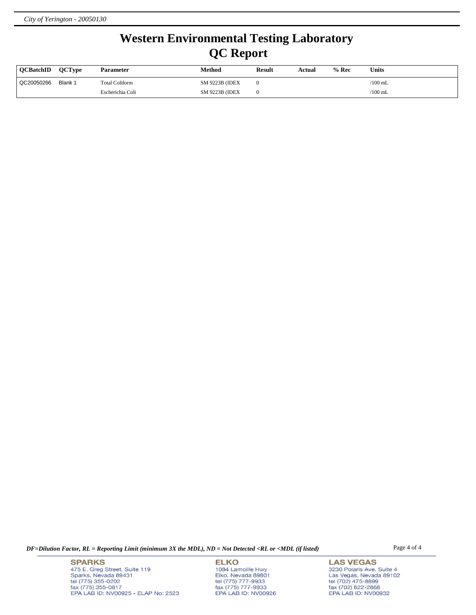# **Western Environmental Testing Laboratory QC Report**

| <b>OCBatchID</b> | <b>OCTvpe</b> | <b>Parameter</b>      | Method                 | <b>Result</b> | Actual | % Rec | <b>Units</b> |
|------------------|---------------|-----------------------|------------------------|---------------|--------|-------|--------------|
| QC20050266       | Blank 1       | <b>Total Coliform</b> | <b>SM 9223B (IDEX)</b> |               |        |       | $/100$ mL    |
|                  |               | Escherichia Coli      | <b>SM 9223B (IDEX)</b> |               |        |       | $/100$ mL    |

*DF=Dilution Factor, RL = Reporting Limit (minimum 3X the MDL), ND = Not Detected <RL or <MDL (if listed)* Page 4 of 4

**SPARKS** 475 E. Greg Street, Suite 119 Sparks, Nevada 89431<br>tel (775) 355-0202<br>fax (775) 355-0817 EPA LAB ID: NV00925 - ELAP No: 2523

**ELKO** 1084 Lamoille Hwy Polyton, Nevada 89801<br>tel (775) 777-9933<br>fax (775) 777-9933<br>EPA LAB ID: NV00926

**LAS VEGAS** 3230 Polaris Ave. Suite 4 Las Vegas, Nevada 89102<br>tel (702) 475-8899<br>fax (702) 622-2868<br>EPA LAB ID: NV00932